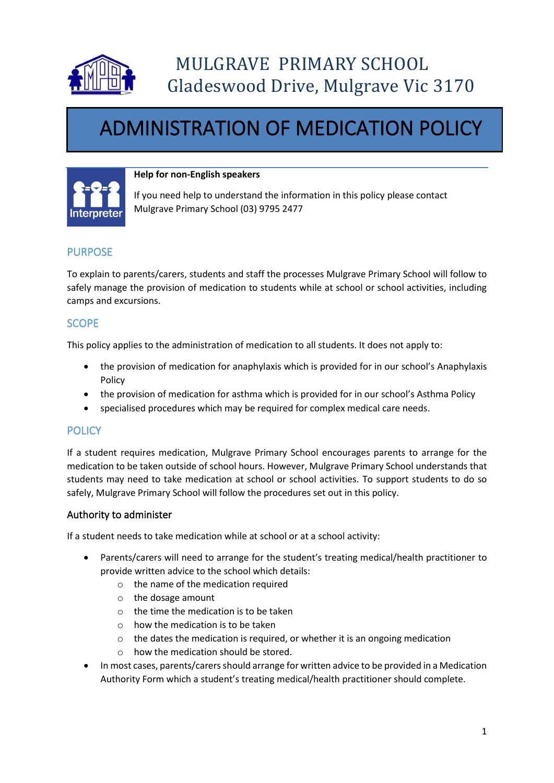

# ADMINISTRATION OF MEDICATION POLICY



#### **Help for non-English speakers**

If you need help to understand the information in this policy please contact Mulgrave Primary School (03) 9795 2477

# PURPOSE

To explain to parents/carers, students and staff the processes Mulgrave Primary School will follow to safely manage the provision of medication to students while at school or school activities, including camps and excursions.

# **SCOPE**

This policy applies to the administration of medication to all students. It does not apply to:

- the provision of medication for anaphylaxis which is provided for in our school's Anaphylaxis Policy
- the provision of medication for asthma which is provided for in our school's Asthma Policy
- specialised procedures which may be required for complex medical care needs.

## **POLICY**

If a student requires medication, Mulgrave Primary School encourages parents to arrange for the medication to be taken outside of school hours. However, Mulgrave Primary School understands that students may need to take medication at school or school activities. To support students to do so safely, Mulgrave Primary School will follow the procedures set out in this policy.

#### Authority to administer

If a student needs to take medication while at school or at a school activity:

- Parents/carers will need to arrange for the student's treating medical/health practitioner to provide written advice to the school which details:
	- o the name of the medication required
	- o the dosage amount
	- o the time the medication is to be taken
	- $\circ$  how the medication is to be taken
	- o the dates the medication is required, or whether it is an ongoing medication
	- o how the medication should be stored.
- In most cases, parents/carers should arrange for written advice to be provided in a Medication Authority Form which a student's treating medical/health practitioner should complete.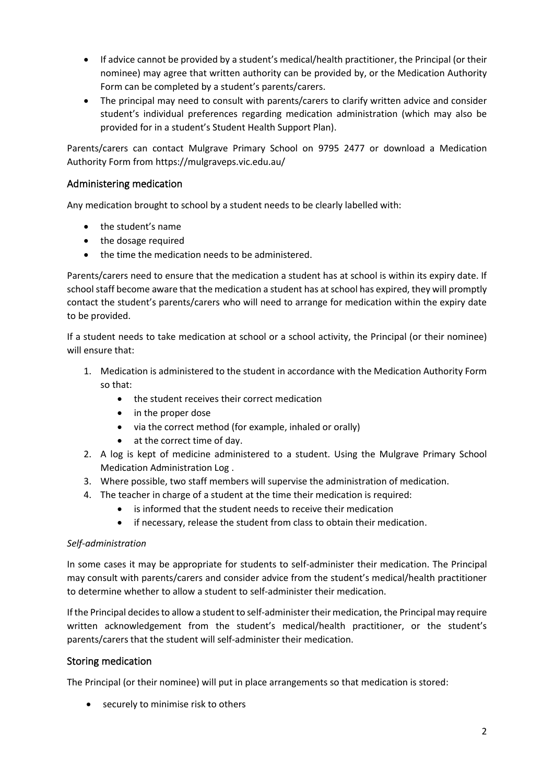- If advice cannot be provided by a student's medical/health practitioner, the Principal (or their nominee) may agree that written authority can be provided by, or the Medication Authority Form can be completed by a student's parents/carers.
- The principal may need to consult with parents/carers to clarify written advice and consider student's individual preferences regarding medication administration (which may also be provided for in a student's Student Health Support Plan).

Parents/carers can contact Mulgrave Primary School on 9795 2477 or download a Medication Authority Form from https://mulgraveps.vic.edu.au/

## Administering medication

Any medication brought to school by a student needs to be clearly labelled with:

- the student's name
- the dosage required
- the time the medication needs to be administered.

Parents/carers need to ensure that the medication a student has at school is within its expiry date. If school staff become aware that the medication a student has at school has expired, they will promptly contact the student's parents/carers who will need to arrange for medication within the expiry date to be provided.

If a student needs to take medication at school or a school activity, the Principal (or their nominee) will ensure that:

- 1. Medication is administered to the student in accordance with the Medication Authority Form so that:
	- the student receives their correct medication
	- in the proper dose
	- via the correct method (for example, inhaled or orally)
	- at the correct time of day.
- 2. A log is kept of medicine administered to a student. Using the Mulgrave Primary School Medication Administration Log .
- 3. Where possible, two staff members will supervise the administration of medication.
- 4. The teacher in charge of a student at the time their medication is required:
	- is informed that the student needs to receive their medication
	- if necessary, release the student from class to obtain their medication.

#### *Self-administration*

In some cases it may be appropriate for students to self-administer their medication. The Principal may consult with parents/carers and consider advice from the student's medical/health practitioner to determine whether to allow a student to self-administer their medication.

If the Principal decides to allow a student to self-administer their medication, the Principal may require written acknowledgement from the student's medical/health practitioner, or the student's parents/carers that the student will self-administer their medication.

#### Storing medication

The Principal (or their nominee) will put in place arrangements so that medication is stored:

• securely to minimise risk to others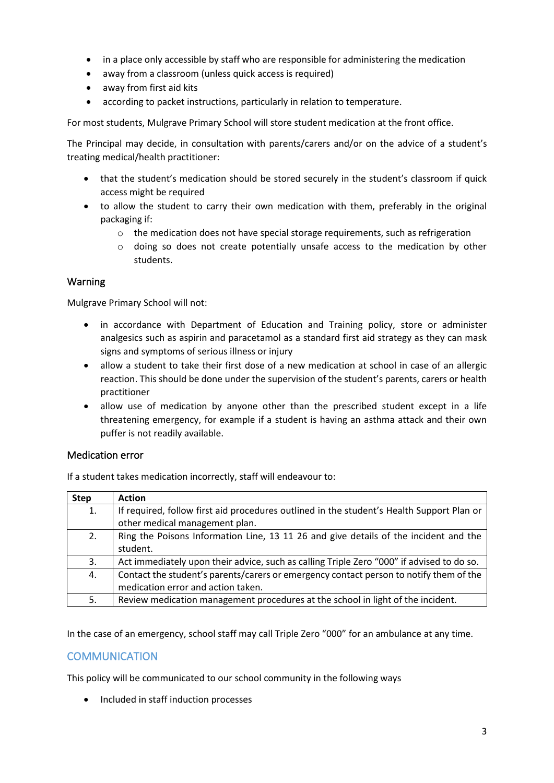- in a place only accessible by staff who are responsible for administering the medication
- away from a classroom (unless quick access is required)
- away from first aid kits
- according to packet instructions, particularly in relation to temperature.

For most students, Mulgrave Primary School will store student medication at the front office.

The Principal may decide, in consultation with parents/carers and/or on the advice of a student's treating medical/health practitioner:

- that the student's medication should be stored securely in the student's classroom if quick access might be required
- to allow the student to carry their own medication with them, preferably in the original packaging if:
	- $\circ$  the medication does not have special storage requirements, such as refrigeration
	- o doing so does not create potentially unsafe access to the medication by other students.

### Warning

Mulgrave Primary School will not:

- in accordance with Department of Education and Training policy, store or administer analgesics such as aspirin and paracetamol as a standard first aid strategy as they can mask signs and symptoms of serious illness or injury
- allow a student to take their first dose of a new medication at school in case of an allergic reaction. This should be done under the supervision of the student's parents, carers or health practitioner
- allow use of medication by anyone other than the prescribed student except in a life threatening emergency, for example if a student is having an asthma attack and their own puffer is not readily available.

#### Medication error

If a student takes medication incorrectly, staff will endeavour to:

| <b>Step</b> | <b>Action</b>                                                                             |
|-------------|-------------------------------------------------------------------------------------------|
| 1.          | If required, follow first aid procedures outlined in the student's Health Support Plan or |
|             | other medical management plan.                                                            |
| 2.          | Ring the Poisons Information Line, 13 11 26 and give details of the incident and the      |
|             | student.                                                                                  |
| 3.          | Act immediately upon their advice, such as calling Triple Zero "000" if advised to do so. |
| 4.          | Contact the student's parents/carers or emergency contact person to notify them of the    |
|             | medication error and action taken.                                                        |
| 5.          | Review medication management procedures at the school in light of the incident.           |

In the case of an emergency, school staff may call Triple Zero "000" for an ambulance at any time.

## **COMMUNICATION**

This policy will be communicated to our school community in the following ways

• Included in staff induction processes